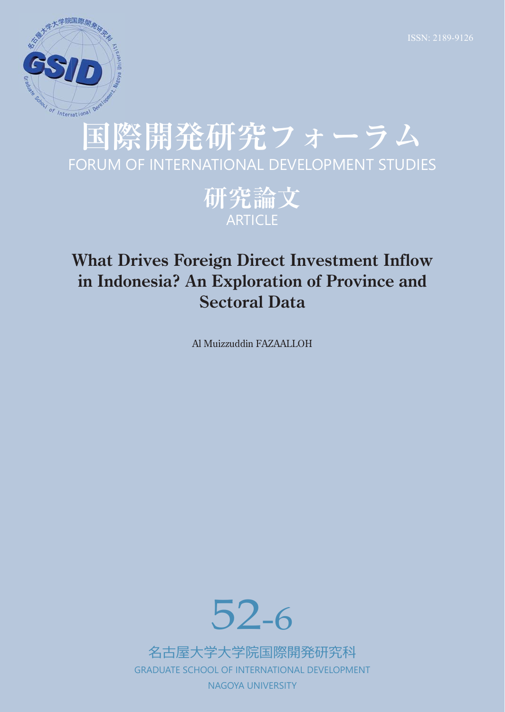

# **国際開発研究フォーラム** FORUM OF INTERNATIONAL DEVELOPMENT STUDIES

**研究論文** ARTICLE

# **What Drives Foreign Direct Investment Inflow in Indonesia? An Exploration of Province and Sectoral Data**

Al Muizzuddin FAZAALLOH



名古屋⼤学⼤学院国際開発研究科 GRADUATE SCHOOL OF INTERNATIONAL DEVELOPMENT NAGOYA UNIVERSITY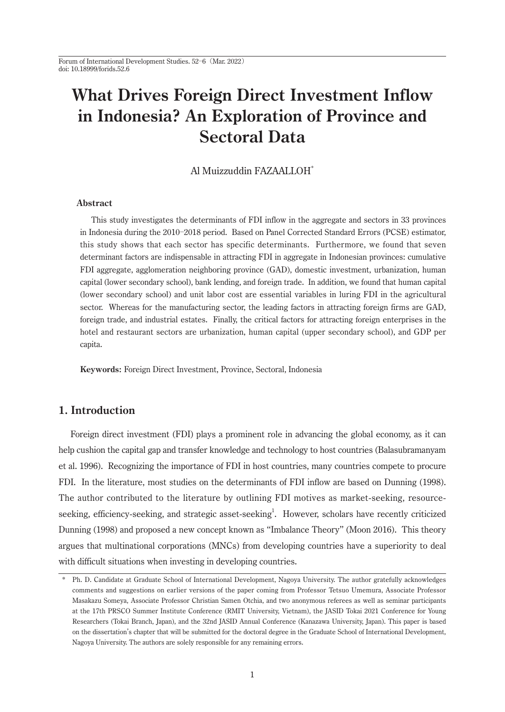Forum of International Development Studies. 52-6 (Mar. 2022) doi: 10.18999/forids.52.6

# **What Drives Foreign Direct Investment Inflow in Indonesia? An Exploration of Province and Sectoral Data**

#### Al Muizzuddin FAZAALLOH<sup>\*</sup>

#### **Abstract**

 This study investigates the determinants of FDI inflow in the aggregate and sectors in 33 provinces in Indonesia during the 2010-2018 period. Based on Panel Corrected Standard Errors (PCSE) estimator, this study shows that each sector has specific determinants. Furthermore, we found that seven determinant factors are indispensable in attracting FDI in aggregate in Indonesian provinces: cumulative FDI aggregate, agglomeration neighboring province (GAD), domestic investment, urbanization, human capital (lower secondary school), bank lending, and foreign trade. In addition, we found that human capital (lower secondary school) and unit labor cost are essential variables in luring FDI in the agricultural sector. Whereas for the manufacturing sector, the leading factors in attracting foreign firms are GAD, foreign trade, and industrial estates. Finally, the critical factors for attracting foreign enterprises in the hotel and restaurant sectors are urbanization, human capital (upper secondary school), and GDP per capita.

**Keywords:** Foreign Direct Investment, Province, Sectoral, Indonesia

### **1. Introduction**

 Foreign direct investment (FDI) plays a prominent role in advancing the global economy, as it can help cushion the capital gap and transfer knowledge and technology to host countries (Balasubramanyam et al. 1996). Recognizing the importance of FDI in host countries, many countries compete to procure FDI. In the literature, most studies on the determinants of FDI inflow are based on Dunning (1998). The author contributed to the literature by outlining FDI motives as market-seeking, resourceseeking, efficiency-seeking, and strategic asset-seeking<sup>1</sup>. However, scholars have recently criticized Dunning (1998) and proposed a new concept known as "Imbalance Theory" (Moon 2016). This theory argues that multinational corporations (MNCs) from developing countries have a superiority to deal with difficult situations when investing in developing countries.

<sup>\*</sup> Ph. D. Candidate at Graduate School of International Development, Nagoya University. The author gratefully acknowledges comments and suggestions on earlier versions of the paper coming from Professor Tetsuo Umemura, Associate Professor Masakazu Someya, Associate Professor Christian Samen Otchia, and two anonymous referees as well as seminar participants at the 17th PRSCO Summer Institute Conference (RMIT University, Vietnam), the JASID Tokai 2021 Conference for Young Researchers (Tokai Branch, Japan), and the 32nd JASID Annual Conference (Kanazawa University, Japan). This paper is based on the dissertation's chapter that will be submitted for the doctoral degree in the Graduate School of International Development, Nagoya University. The authors are solely responsible for any remaining errors.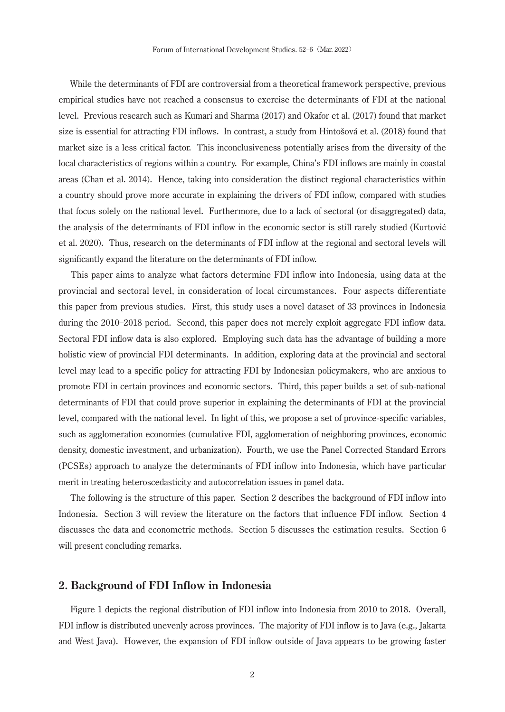While the determinants of FDI are controversial from a theoretical framework perspective, previous empirical studies have not reached a consensus to exercise the determinants of FDI at the national level. Previous research such as Kumari and Sharma (2017) and Okafor et al. (2017) found that market size is essential for attracting FDI inflows. In contrast, a study from Hintošová et al. (2018) found that market size is a less critical factor. This inconclusiveness potentially arises from the diversity of the local characteristics of regions within a country. For example, China's FDI inflows are mainly in coastal areas (Chan et al. 2014). Hence, taking into consideration the distinct regional characteristics within a country should prove more accurate in explaining the drivers of FDI inflow, compared with studies that focus solely on the national level. Furthermore, due to a lack of sectoral (or disaggregated) data, the analysis of the determinants of FDI inflow in the economic sector is still rarely studied (Kurtović et al. 2020). Thus, research on the determinants of FDI inflow at the regional and sectoral levels will significantly expand the literature on the determinants of FDI inflow.

 This paper aims to analyze what factors determine FDI inflow into Indonesia, using data at the provincial and sectoral level, in consideration of local circumstances. Four aspects differentiate this paper from previous studies. First, this study uses a novel dataset of 33 provinces in Indonesia during the 2010-2018 period. Second, this paper does not merely exploit aggregate FDI inflow data. Sectoral FDI inflow data is also explored. Employing such data has the advantage of building a more holistic view of provincial FDI determinants. In addition, exploring data at the provincial and sectoral level may lead to a specific policy for attracting FDI by Indonesian policymakers, who are anxious to promote FDI in certain provinces and economic sectors. Third, this paper builds a set of sub-national determinants of FDI that could prove superior in explaining the determinants of FDI at the provincial level, compared with the national level. In light of this, we propose a set of province-specific variables, such as agglomeration economies (cumulative FDI, agglomeration of neighboring provinces, economic density, domestic investment, and urbanization). Fourth, we use the Panel Corrected Standard Errors (PCSEs) approach to analyze the determinants of FDI inflow into Indonesia, which have particular merit in treating heteroscedasticity and autocorrelation issues in panel data.

 The following is the structure of this paper. Section 2 describes the background of FDI inflow into Indonesia. Section 3 will review the literature on the factors that influence FDI inflow. Section 4 discusses the data and econometric methods. Section 5 discusses the estimation results. Section 6 will present concluding remarks.

#### **2. Background of FDI Inflow in Indonesia**

 Figure 1 depicts the regional distribution of FDI inflow into Indonesia from 2010 to 2018. Overall, FDI inflow is distributed unevenly across provinces. The majority of FDI inflow is to Java (e.g., Jakarta and West Java). However, the expansion of FDI inflow outside of Java appears to be growing faster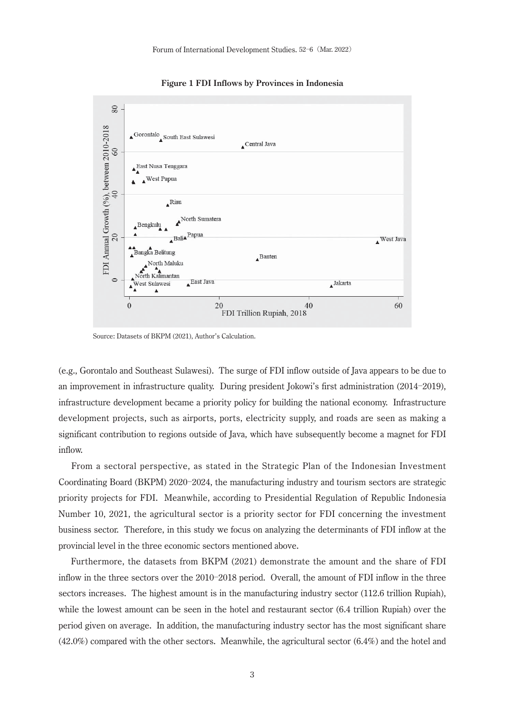$80^{\circ}$ FDI Annual Growth (%), between 2010-2018 Gorontalo South East Sulawes Central Java 60 East Nusa Tenggara West Papua  $\overline{0}$  $\mathbf{A}^{\text{Riau}}$ North Sumatera Bengkulu Bali<sup>A</sup>Papua  $20$ West Java Bangka Belitung Banten North Maluku North Kalimantan Last Java  $\triangle$ Jakarta west Sulawesi  $\triangle^V$ A  $\mathbf{0}$ 20 60  $40$ FDI Trillion Rupiah, 2018

**Figure 1 FDI Inflows by Provinces in Indonesia**

Source: Datasets of BKPM (2021), Author's Calculation.

(e.g., Gorontalo and Southeast Sulawesi). The surge of FDI inflow outside of Java appears to be due to an improvement in infrastructure quality. During president Jokowi's first administration (2014-2019), infrastructure development became a priority policy for building the national economy. Infrastructure development projects, such as airports, ports, electricity supply, and roads are seen as making a significant contribution to regions outside of Java, which have subsequently become a magnet for FDI inflow.

 From a sectoral perspective, as stated in the Strategic Plan of the Indonesian Investment Coordinating Board (BKPM) 2020-2024, the manufacturing industry and tourism sectors are strategic priority projects for FDI. Meanwhile, according to Presidential Regulation of Republic Indonesia Number 10, 2021, the agricultural sector is a priority sector for FDI concerning the investment business sector. Therefore, in this study we focus on analyzing the determinants of FDI inflow at the provincial level in the three economic sectors mentioned above.

 Furthermore, the datasets from BKPM (2021) demonstrate the amount and the share of FDI inflow in the three sectors over the 2010-2018 period. Overall, the amount of FDI inflow in the three sectors increases. The highest amount is in the manufacturing industry sector (112.6 trillion Rupiah), while the lowest amount can be seen in the hotel and restaurant sector (6.4 trillion Rupiah) over the period given on average. In addition, the manufacturing industry sector has the most significant share (42.0%) compared with the other sectors. Meanwhile, the agricultural sector (6.4%) and the hotel and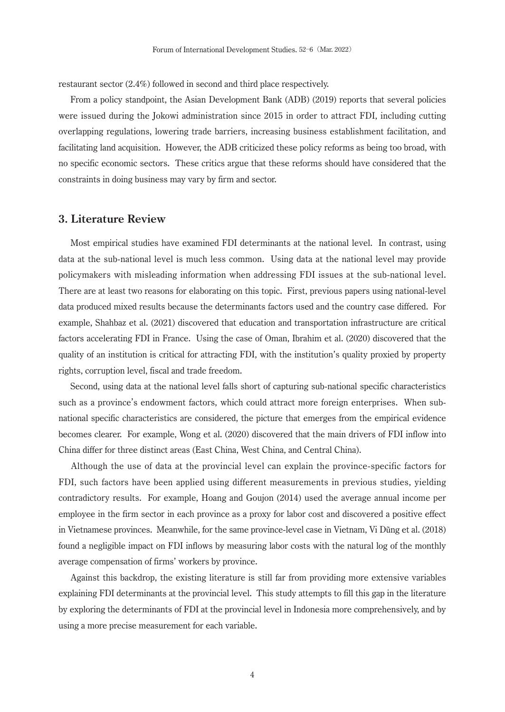restaurant sector (2.4%) followed in second and third place respectively.

 From a policy standpoint, the Asian Development Bank (ADB) (2019) reports that several policies were issued during the Jokowi administration since 2015 in order to attract FDI, including cutting overlapping regulations, lowering trade barriers, increasing business establishment facilitation, and facilitating land acquisition. However, the ADB criticized these policy reforms as being too broad, with no specific economic sectors. These critics argue that these reforms should have considered that the constraints in doing business may vary by firm and sector.

#### **3. Literature Review**

 Most empirical studies have examined FDI determinants at the national level. In contrast, using data at the sub-national level is much less common. Using data at the national level may provide policymakers with misleading information when addressing FDI issues at the sub-national level. There are at least two reasons for elaborating on this topic. First, previous papers using national-level data produced mixed results because the determinants factors used and the country case differed. For example, Shahbaz et al. (2021) discovered that education and transportation infrastructure are critical factors accelerating FDI in France. Using the case of Oman, Ibrahim et al. (2020) discovered that the quality of an institution is critical for attracting FDI, with the institution's quality proxied by property rights, corruption level, fiscal and trade freedom.

 Second, using data at the national level falls short of capturing sub-national specific characteristics such as a province's endowment factors, which could attract more foreign enterprises. When subnational specific characteristics are considered, the picture that emerges from the empirical evidence becomes clearer. For example, Wong et al. (2020) discovered that the main drivers of FDI inflow into China differ for three distinct areas (East China, West China, and Central China).

 Although the use of data at the provincial level can explain the province-specific factors for FDI, such factors have been applied using different measurements in previous studies, yielding contradictory results. For example, Hoang and Goujon (2014) used the average annual income per employee in the firm sector in each province as a proxy for labor cost and discovered a positive effect in Vietnamese provinces. Meanwhile, for the same province-level case in Vietnam, Vi Dũng et al. (2018) found a negligible impact on FDI inflows by measuring labor costs with the natural log of the monthly average compensation of firms' workers by province.

 Against this backdrop, the existing literature is still far from providing more extensive variables explaining FDI determinants at the provincial level. This study attempts to fill this gap in the literature by exploring the determinants of FDI at the provincial level in Indonesia more comprehensively, and by using a more precise measurement for each variable.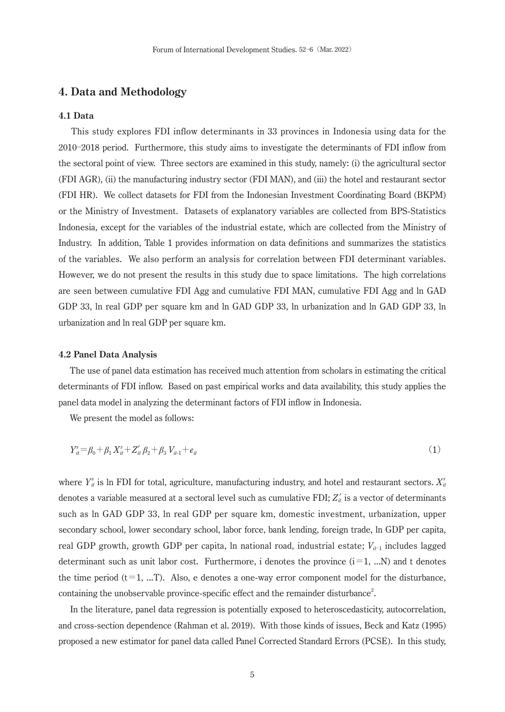#### **4. Data and Methodology**

#### **4.1 Data**

 This study explores FDI inflow determinants in 33 provinces in Indonesia using data for the 2010 Ż2018 period. Furthermore, this study aims to investigate the determinants of FDI inflow from the sectoral point of view. Three sectors are examined in this study, namely: (i) the agricultural sector (FDI AGR), (ii) the manufacturing industry sector (FDI MAN), and (iii) the hotel and restaurant sector (FDI HR). We collect datasets for FDI from the Indonesian Investment Coordinating Board (BKPM) or the Ministry of Investment. Datasets of explanatory variables are collected from BPS-Statistics Indonesia, except for the variables of the industrial estate, which are collected from the Ministry of Industry. In addition, Table 1 provides information on data definitions and summarizes the statistics of the variables. We also perform an analysis for correlation between FDI determinant variables. However, we do not present the results in this study due to space limitations. The high correlations are seen between cumulative FDI Agg and cumulative FDI MAN, cumulative FDI Agg and ln GAD GDP 33, ln real GDP per square km and ln GAD GDP 33, ln urbanization and ln GAD GDP 33, ln urbanization and ln real GDP per square km.

#### **4.2 Panel Data Analysis**

 The use of panel data estimation has received much attention from scholars in estimating the critical determinants of FDI inflow. Based on past empirical works and data availability, this study applies the panel data model in analyzing the determinant factors of FDI inflow in Indonesia.

We present the model as follows:

$$
Y_{it}^{s} = \beta_0 + \beta_1 X_{it}^{s} + Z_{it}' \beta_2 + \beta_3 V_{it-1} + e_{it}
$$
\n<sup>(1)</sup>

where  $Y_{it}^s$  is ln FDI for total, agriculture, manufacturing industry, and hotel and restaurant sectors.  $X_{it}^s$ denotes a variable measured at a sectoral level such as cumulative FDI;  $Z'_t$  is a vector of determinants such as ln GAD GDP 33, ln real GDP per square km, domestic investment, urbanization, upper secondary school, lower secondary school, labor force, bank lending, foreign trade, ln GDP per capita, real GDP growth, growth GDP per capita, ln national road, industrial estate;  $V_{it-1}$  includes lagged determinant such as unit labor cost. Furthermore, i denotes the province  $(i=1, ...N)$  and t denotes the time period  $(t=1, ...T)$ . Also, e denotes a one-way error component model for the disturbance, containing the unobservable province-specific effect and the remainder disturbance<sup>2</sup>.

 In the literature, panel data regression is potentially exposed to heteroscedasticity, autocorrelation, and cross-section dependence (Rahman et al. 2019). With those kinds of issues, Beck and Katz (1995) proposed a new estimator for panel data called Panel Corrected Standard Errors (PCSE). In this study,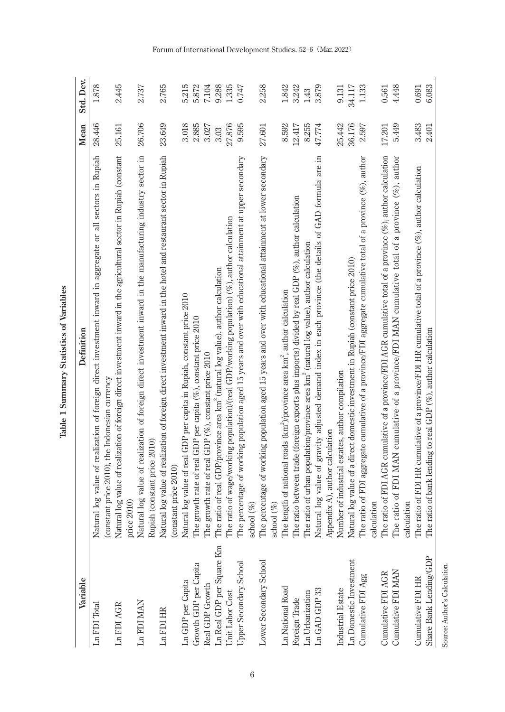Table 1 Summary Statistics of Variables **Table 1 Summary Statistics of Variables**

| Variable                                    | Definition                                                                                                                                                                                                                              | Mean            | Std. Dev.      |
|---------------------------------------------|-----------------------------------------------------------------------------------------------------------------------------------------------------------------------------------------------------------------------------------------|-----------------|----------------|
| Ln FDI Total                                | log value of realization of foreign direct investment inward in aggregate or all sectors in Rupiah<br>Natural                                                                                                                           | 28.446          | 1.878          |
| Ln FDI AGR                                  | Natural log value of realization of foreign direct investment inward in the agricultural sector in Rupiah (constant<br>(constant price 2010), the Indonesian currency<br>price 2010)                                                    | 25.161          | 2.445          |
| Ln FDI MAN                                  | Natural log value of realization of foreign direct investment inward in the manufacturing industry sector in<br>Rupiah (constant price 2010)                                                                                            | 26.706          | 2.737          |
| Ln FDI HR                                   | Natural log value of realization of foreign direct investment inward in the hotel and restaurant sector in Rupiah<br>(constant price 2010)                                                                                              | 23.649          | 2.765          |
| Ln GDP per Capita                           | Natural log value of real GDP per capita in Rupiah, constant price 2010                                                                                                                                                                 | 3.018           | 5.215          |
| Growth GDP per Capita                       | The growth rate of real GDP per capita (%), constant price 2010                                                                                                                                                                         | 2.885           | 5.872          |
| Real GDP Growth                             | The growth rate of real GDP (%), constant price 2010                                                                                                                                                                                    | 3.027           | 7.104          |
| Ln Real GDP per Square Km                   | The ratio of real GDP/province area km <sup>2</sup> (natural log value), author calculation                                                                                                                                             | 3.03            | 9.288          |
| Unit Labor Cost                             | The ratio of wage/working population)/(real GDP/working population) $(\%$ ), author calculation                                                                                                                                         | 27.876          | 1.335          |
| Upper Secondary School                      | The percentage of working population aged 15 years and over with educational attainment at upper secondary<br>school $(\%)$                                                                                                             | 9.595           | 0.747          |
| Lower Secondary School                      | The percentage of working population aged 15 years and over with educational attainment at lower secondary<br>school (%)                                                                                                                | 27.601          | 2.258          |
| Ln National Road                            | The length of national roads (km <sup>2</sup> )/province area km <sup>2</sup> , author calculation                                                                                                                                      | 8.592           | 1.842          |
| Foreign Trade                               | The ratio between trade (foreign exports plus imports) divided by real GDP $(\%)$ , author calculation                                                                                                                                  | 12.417          | 3.242          |
| Ln Urbanization                             | The ratio of urban population/province area km <sup>2</sup> (natural log value), author calculation                                                                                                                                     | 8.255           | 1.43           |
| Ln GAD GDP 33                               | Natural log value of gravity adjusted demand index in each province (the details of GAD formula are in<br>Appendix A), author calculation                                                                                               | 47.774          | 3.879          |
| Industrial Estate                           | Number of industrial estates, author compilation                                                                                                                                                                                        | 25.442          | 9.131          |
| Ln Domestic Investment                      | Natural log value of a direct domestic investment in Rupiah (constant price 2010)                                                                                                                                                       | 36,176          | 34.117         |
| Cumulative FDI Agg                          | The ratio of FDI aggregate cumulative of a province/FDI aggregate cumulative total of a province $(\%)$ , author<br>calculation                                                                                                         | 2.597           | 1.133          |
| Cumulative FDI MAN<br>Cumulative FDI AGR    | The ratio of FDI AGR cumulative of a province/FDI AGR cumulative total of a province $(\%)$ , author calculation<br>The ratio of FDI MAN cumulative of a province/FDI MAN cumulative total of a province $(\%$ ), author<br>calculation | 5.449<br>17.201 | 4.448<br>0.561 |
| Share Bank Lending/GDP<br>Cumulative FDI HR | The ratio of FDI HR cumulative of a province/FDI HR cumulative total of a province $(\%)$ , author calculation<br>The ratio of bank lending to real GDP $(\%)$ , author calculation                                                     | 3.483<br>2.401  | 6.083<br>0.691 |
| Source: Author's Calculation.               |                                                                                                                                                                                                                                         |                 |                |

Forum of International Development Studies. 52–6 (Mar. 2022)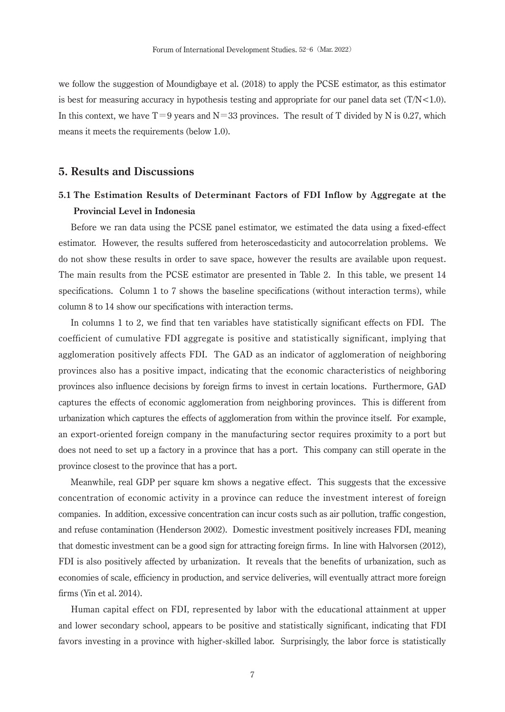we follow the suggestion of Moundigbaye et al. (2018) to apply the PCSE estimator, as this estimator is best for measuring accuracy in hypothesis testing and appropriate for our panel data set  $(T/N < 1.0)$ . In this context, we have  $T=9$  years and  $N=33$  provinces. The result of T divided by N is 0.27, which means it meets the requirements (below 1.0).

#### **5. Results and Discussions**

# **5.1 The Estimation Results of Determinant Factors of FDI Inflow by Aggregate at the Provincial Level in Indonesia**

 Before we ran data using the PCSE panel estimator, we estimated the data using a fixed-effect estimator. However, the results suffered from heteroscedasticity and autocorrelation problems. We do not show these results in order to save space, however the results are available upon request. The main results from the PCSE estimator are presented in Table 2. In this table, we present 14 specifications. Column 1 to 7 shows the baseline specifications (without interaction terms), while column 8 to 14 show our specifications with interaction terms.

 In columns 1 to 2, we find that ten variables have statistically significant effects on FDI. The coefficient of cumulative FDI aggregate is positive and statistically significant, implying that agglomeration positively affects FDI. The GAD as an indicator of agglomeration of neighboring provinces also has a positive impact, indicating that the economic characteristics of neighboring provinces also influence decisions by foreign firms to invest in certain locations. Furthermore, GAD captures the effects of economic agglomeration from neighboring provinces. This is different from urbanization which captures the effects of agglomeration from within the province itself. For example, an export-oriented foreign company in the manufacturing sector requires proximity to a port but does not need to set up a factory in a province that has a port. This company can still operate in the province closest to the province that has a port.

 Meanwhile, real GDP per square km shows a negative effect. This suggests that the excessive concentration of economic activity in a province can reduce the investment interest of foreign companies. In addition, excessive concentration can incur costs such as air pollution, traffic congestion, and refuse contamination (Henderson 2002). Domestic investment positively increases FDI, meaning that domestic investment can be a good sign for attracting foreign firms. In line with Halvorsen (2012), FDI is also positively affected by urbanization. It reveals that the benefits of urbanization, such as economies of scale, efficiency in production, and service deliveries, will eventually attract more foreign firms (Yin et al. 2014).

 Human capital effect on FDI, represented by labor with the educational attainment at upper and lower secondary school, appears to be positive and statistically significant, indicating that FDI favors investing in a province with higher-skilled labor. Surprisingly, the labor force is statistically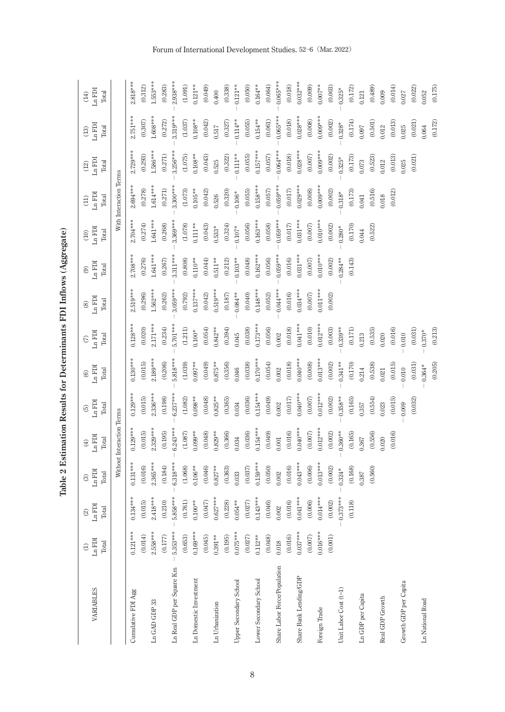Table 2 Estimation Results for Determinants FDI Inflows (Aggregate) **Table 2 Estimation Results for Determinants FDI Inflows (Aggregate)**

| VARIABLES                    | $Ln$ $FDI$<br>Total<br>$\ominus$ | <b>IGH</b><br>Total<br>$\circledcirc$<br>$\Xi$ | Ln FDI<br>Total<br>$\circledR$ | $Ln$ $FDI$<br>Total<br>$\tag{4}$ | $Ln$ $FDI$<br>Total<br>$\odot$ | $Ln$ $FDI$<br>Total<br>$\circledcirc$ | $Ln$ $FDI$<br>Total<br>$\epsilon$ | $Ln$ $FDI$<br>Total<br>$\circledast$ | $Ln$ $FDI$<br>Total<br>$\circledcirc$ | $Ln$ $FDI$<br>Total<br>$\odot$  | Ln FDI<br>Total<br>$\Xi$ | $Ln$ $FDI$<br>Total<br>$(12)$ | $Ln$ $FDI$<br>Total<br>$(13)$ | $Ln$ $FDI$<br>Total<br>(14) |
|------------------------------|----------------------------------|------------------------------------------------|--------------------------------|----------------------------------|--------------------------------|---------------------------------------|-----------------------------------|--------------------------------------|---------------------------------------|---------------------------------|--------------------------|-------------------------------|-------------------------------|-----------------------------|
|                              |                                  |                                                |                                | Without Interaction Terms        |                                |                                       |                                   |                                      |                                       |                                 | With Interaction Terms   |                               |                               |                             |
| Cumulative FDI Agg           | $0.121***$                       | $0.134***$                                     | $0.131***$                     | $0.129***$                       | $0.129***$                     | $0.130***$                            | $0.128***$                        | $2.519***$                           | $2.708***$                            | $2.704***$                      | $2.694***$               | $2.729***$                    | $2.751***$                    | $2.818***$                  |
|                              | (0.014)                          | (0.015)                                        | (0.016)                        | (0.015)                          | (0.015)                        | (0.015)                               | (0.020)                           | (0.296)                              | (0.276)                               | (0.274)                         | (0.278)                  | (0.293)                       | $(0.307)$                     | (0.312)                     |
| Ln GAD GDP 33                | $2.558***$                       | $2.418***$                                     | $2.365***$                     | $2.329***$                       | $2.336***$                     | $2.189***$                            | $2.171***$                        | $1.562***$                           | $1.641***$                            | $1.641***$                      | $1.614***$               | $1.586***$                    | $1.608***$                    | $1.553***$                  |
|                              | (0.177)                          | (0.210)                                        | (0.184)                        | (0.195)                          | (0.198)                        | (0.206)                               | (0.234)                           | (0.262)                              | (0.267)                               | (0.268)                         | (0.271)                  | (0.271)                       | (0.272)                       | (0.283)                     |
| Ln Real GDP per Square Km    | $5.353***$                       | $.858***$<br>$\frac{5}{1}$                     | $6.318***$                     | $6.243***$                       | $6.237***$                     | $5.818***$                            | 5.701***                          | $3.059***$                           | $3.311***$                            | $3.369***$                      | $3.300***$               | $3.256***$                    | $3.319***$                    | $2.938***$                  |
|                              | (0.653)                          | (0.761)                                        | (1.068)                        | (1.087)                          | (1.082)                        | (1.039)                               | (1.211)                           | (0.792)                              | (0.808)                               | (1.078)                         | (1.073)                  | (1.075)                       | (1.037)                       | (1.091)                     |
| Ln Domestic Investment       | $0.169***$                       | $0.100**$                                      | $0.106***$                     | $0.099**$                        | $0.098***$                     | $0.097***$                            | $0.100*$                          | $0.137***$                           | $0.110**$                             | $0.111**$                       | $0.105***$               | $0.108***$                    | $0.108***$                    | $0.121***$                  |
|                              | (0.045)                          | (0.047)                                        | (0.046)                        | (0.048)                          | (0.048)                        | (0.049)                               | (0.054)                           | (0.042)                              | (0.044)                               | (0.043)                         | (0.042)                  | (0.043)                       | (0.042)                       | (0.049)                     |
| Ln Urbanization              | $0.391***$                       | $0.627***$                                     | $0.827***$                     | $0.829**$                        | $0.825***$                     | $0.875**$                             | $0.842***$                        | $0.519***$                           | $0.511***$                            | $0.533*$                        | 0.526                    | 0.525                         | 0.517                         | 0.400                       |
|                              | (0.195)                          | (0.228)                                        | (0.363)                        | (0.366)                          | (0.365)                        | (0.356)                               | (0.394)                           | $(0.187)$                            | (0.212)                               | (0.324)                         | (0.320)                  | (0.322)                       | (0.327)                       | (0.338)                     |
| Upper Secondary School       | $0.075***$                       | $0.054***$                                     | 0.033                          | 0.034                            | 0.034                          | 0.046                                 | 0.045                             | $0.084***$                           | $0.103**$                             | $0.107\ensuremath{^{*}}\xspace$ | $0.106*$                 | $0.111**$                     | $0.114***$                    | $0.121**$                   |
|                              | (0.027)                          | (0.027)                                        | (0.037)                        | (0.036)                          | (0.036)                        | (0.038)                               | (0.038)                           | (0.040)                              | (0.048)                               | (0.056)                         | (0.055)                  | (0.055)                       | (0.055)                       | (0.050)                     |
| Lower Secondary School       | $0.112***$                       | $0.143***$                                     | $0.159***$                     | $0.154***$                       | $0.154***$                     | $0.170***$                            | $0.173***$                        | $0.148***$                           | $0.162***$                            | $0.163***$                      | $0.158***$               | $0.157***$                    | $0.154***$                    | $0.164***$                  |
|                              | (0.048)                          | 0.046                                          | (0.050)                        | (0.049)                          | (0.049)                        | (0.054)                               | (0.056)                           | (0.052)                              | (0.056)                               | (0.058)                         | $(0.057)$                | (0.057)                       | (0.061)                       | (0.064)                     |
| Share Labor Force/Population | 0.018                            | $0.002\,$                                      | $0.002$                        | $0.001\,$                        | 0.002                          | 0.002                                 | 0.002                             | $0.044***$                           | $0.059***$                            | $0.059***$                      | $0.059***$               | $0.064***$                    | $0.065***$                    | $0.065***$                  |
|                              | (0.016)                          | (0.016)                                        | (0.016)                        | (0.016)                          | (0.017)                        | (0.018)                               | (0.018)                           | (0.016)                              | (0.016)                               | $(0.017)$                       | $(0.017)$                | (0.018)                       | (0.018)                       | (0.018)                     |
| Share Bank Lending/GDP       | $0.037***$                       | $0.041***$                                     | $0.043***$                     | $0.040**$                        | $0.040***$                     | $0.040***$                            | $0.041***$                        | $0.034***$                           | $0.031***$                            | $0.031***$                      | $0.029***$               | $0.028***$                    | $0.028***$                    | $0.032***$                  |
|                              | $(0.007)$                        | (0.006)                                        | (0.006)                        | (0.007)                          | (0.007)                        | (0.008)                               | (0.010)                           | (0.007)                              | (0.007)                               | (0.007)                         | (0.008)                  | (0.007)                       | (0.008)                       | (0.009)                     |
| Foreign Trade                | $0.016***$                       | $0.014***$                                     | $0.013***$                     | $0.012***$                       | $0.012***$                     | $0.013***$                            | $0.012***$                        | $0.011***$                           | $0.010**$                             | $0.010**$                       | $0.009***$               | $0.009***$                    | $0.009***$                    | $0.007^{**}$                |
|                              | $\left(0.001\right)$             | $\left(0.002\right)$                           | (0.002)                        | (0.002)                          | (0.002)                        | (0.002)                               | (0.003)                           | (0.002)                              | (0.002)                               | (0.002)                         | (0.002)                  | (0.002)                       | (0.002)                       | (0.003)                     |
| Unit Labor Cost (t-1)        |                                  | $-0.373***$                                    | $0.324*$                       | $0.360***$                       | $0.358***$                     | $0.341***$                            | $0.339***$                        |                                      | $0.284***$                            | $0.280*$                        | $0.318*$                 | $0.325*$                      | $0.328*$                      | $0.325*$                    |
|                              |                                  | (0.118)                                        | (0.168)                        | (0.165)                          | (0.165)                        | (0.170)                               | $\left( 0.171\right)$             |                                      | (0.143)                               | (0.170)                         | (0.173)                  | (0.173)                       | (0.174)                       | (0.172)                     |
| Ln GDP per Capita            |                                  |                                                | 0.387                          | 0.367                            | 0.357                          | 0.214                                 | 0.213                             |                                      |                                       | 0.044                           | 0.041                    | 0.073                         | 0.097                         | $0.121$                     |
|                              |                                  |                                                | (0.560)                        | (0.556)                          | (0.554)                        | (0.538)                               | (0.535)                           |                                      |                                       | (0.522)                         | (0.516)                  | (0.523)                       | (0.501)                       | (0.489)                     |
| Real GDP Growth              |                                  |                                                |                                | 0.020                            | 0.023                          | 0.021                                 | 0.020                             |                                      |                                       |                                 | 0.018                    | 0.012                         | 0.012                         | 0.009                       |
|                              |                                  |                                                |                                | (0.016)                          | (0.015)                        | (0.015)                               | (0.016)                           |                                      |                                       |                                 | (0.012)                  | (0.013)                       | (0.013)                       | (0.014)                     |
| Growth GDP per Capita        |                                  |                                                |                                |                                  | 0.009                          | $0.010\,$                             | 0.010                             |                                      |                                       |                                 |                          | 0.025                         | 0.25                          | 0.027                       |
|                              |                                  |                                                |                                |                                  | (0.032)                        | (0.031)                               | (0.031)                           |                                      |                                       |                                 |                          | (0.021)                       | (0.021)                       | (0.022)                     |
| Ln National Road             |                                  |                                                |                                |                                  |                                | $0.364*$                              | $0.370*$                          |                                      |                                       |                                 |                          |                               | 0.064                         | 0.052                       |
|                              |                                  |                                                |                                |                                  |                                | (0.205)                               | (0.213)                           |                                      |                                       |                                 |                          |                               | (0.172)                       | (0.175)                     |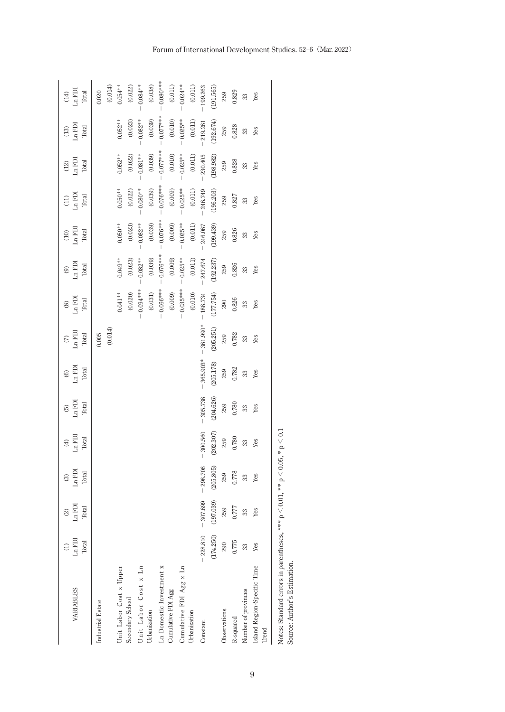| VARIABLES                                   | $Ln$ $FDI$<br>Total  | $Ln$ FDI<br>Total<br>$\widehat{\infty}$ | $\begin{array}{c} (3) \\ \textrm{Ln}\ \mathrm{FDI} \\ \textrm{Total} \end{array}$ | $\begin{array}{c} (4) \\ \textrm{Ln FDI} \\ \textrm{Total} \end{array}$ | $\frac{5}{\text{Ln FDI}}$ | $\begin{array}{c} (6) \\ \text{Ln FDI} \\ \text{Total} \end{array}$ | $\begin{array}{c} (7) \\ \text{Ln FDI} \\ \text{Total} \end{array}$ | $\begin{array}{c} (8) \\ \text{Lipp1} \end{array}$<br>Total | $\begin{array}{c} (9) \\ (11) \\ (2) \end{array}$<br>Total | $\begin{array}{c} (10) \\ \textrm{Ln FDI} \end{array}$<br>Total | $\begin{array}{c} \text{(11)} \\ \text{Ln FDI} \end{array}$<br>Total | $\frac{(12)}{Ln \text{ FDI}}$<br>Total | $\begin{array}{c} (13) \\ \text{Ln FDI} \end{array}$<br>Total | $Ln$ $FDI$<br>Total<br>$(14)$ |
|---------------------------------------------|----------------------|-----------------------------------------|-----------------------------------------------------------------------------------|-------------------------------------------------------------------------|---------------------------|---------------------------------------------------------------------|---------------------------------------------------------------------|-------------------------------------------------------------|------------------------------------------------------------|-----------------------------------------------------------------|----------------------------------------------------------------------|----------------------------------------|---------------------------------------------------------------|-------------------------------|
| Industrial Estate                           |                      |                                         |                                                                                   |                                                                         |                           |                                                                     | (0.014)<br>$0.005$                                                  |                                                             |                                                            |                                                                 |                                                                      |                                        |                                                               | $\left(0.014\right)$<br>0.020 |
| Unit Labor Cost x Upper<br>Secondary School |                      |                                         |                                                                                   |                                                                         |                           |                                                                     |                                                                     | (0.020)<br>$0.041***$                                       | $0.049***$<br>(0.023)                                      | $0.050**$<br>(0.023)                                            | (0.022)<br>$0.050**$                                                 | (0.022)<br>$0.052***$                  | (0.023)<br>$0.052***$                                         | (0.022)<br>$0.054^{***}\,$    |
| Unit Labor Cost x Ln<br>Urbanization        |                      |                                         |                                                                                   |                                                                         |                           |                                                                     |                                                                     | $0.094***$                                                  | $0.082***$                                                 | $0.082***$                                                      | $0.080**$                                                            | $0.081***$                             | $0.082***$                                                    | $0.084***$                    |
| L<br>n Domestic Investment x                |                      |                                         |                                                                                   |                                                                         |                           |                                                                     |                                                                     | $0.066***$<br>$\left( 0.031\right)$                         | $-0.076***$<br>(0.039)                                     | $0.076***$<br>(0.039)                                           | $-0.076***$<br>(0.039)                                               | $-0.077***$<br>(0.039)                 | $0.077***$<br>(0.039)                                         | $-0.080**$<br>(0.038)         |
| Cumulative FDI Agg                          |                      |                                         |                                                                                   |                                                                         |                           |                                                                     |                                                                     | (0.009)                                                     | (0.009)                                                    | (0.009)                                                         | (0.009)                                                              | $\left( 0.010\right)$                  | $\left(0.010\right)$                                          | $\left( 0.011\right)$         |
| Cumulative FDI Agg $\ge$ Ln                 |                      |                                         |                                                                                   |                                                                         |                           |                                                                     |                                                                     | $0.035***$                                                  | $-0.025***$                                                | $-0.025***$                                                     | $-0.025***$                                                          | $-0.025***$                            | $-0.025***$                                                   | $0.024***$                    |
| Urbanization                                |                      |                                         |                                                                                   |                                                                         |                           |                                                                     |                                                                     | $\left( 0.010\right)$                                       | $\left( 0.011\right)$                                      | $\left( 0.011\right)$                                           | $\left( 0.011\right)$                                                | $\left( 0.011\right)$                  | $\left( 0.011\right)$                                         | $\left( 0.011\right)$         |
| Constant                                    | $-228.810 - 307.699$ |                                         | 298.706                                                                           | $-300.560$                                                              | $-305.738$                | 365.903*                                                            | 361.990*                                                            | $-188.734$                                                  | 247.674                                                    | $-246.067$                                                      | 246.749                                                              | 230.405                                | 219.261                                                       | 199.263                       |
|                                             | (174.250)            | (197.039)                               | (205, 805)                                                                        | (202.307)                                                               | (204.626)                 | $\left( 205,178\right)$                                             | (205.251)                                                           | (177.754)                                                   | $(192.237)$                                                | (199.439)                                                       | (196.203)                                                            | (198.982)                              | (192.674)                                                     | (191.565)                     |
| Observations                                | 290                  | 259                                     | 259                                                                               | 259                                                                     | 259                       | 259                                                                 | 259                                                                 | $290\,$                                                     | 259                                                        | 259                                                             | 259                                                                  | 259                                    | 259                                                           | 259                           |
| R-squared                                   | 0.775                | 1.777                                   | 0.778                                                                             | 0.780                                                                   | 0.780                     | 0.782                                                               | 0.782                                                               | $0.826\,$                                                   | 0.826                                                      | 0.826                                                           | 0.827                                                                | 0.828                                  | 0.828                                                         | 0.829                         |
| Number of provinces                         |                      | 33                                      | $33\,$                                                                            | $\boldsymbol{\mathcal{Z}}$                                              | $33\,$                    | 33                                                                  | $33\,$                                                              | B                                                           | 33                                                         | 33                                                              | 33                                                                   | 33                                     | 33                                                            | 33                            |
| Island Region-Specific Time<br>Trend        | Yes                  | Yes                                     | Yes                                                                               | Yes                                                                     | Yes                       | Yes                                                                 | Yes                                                                 | Yes                                                         | Yes                                                        | Yes                                                             | Yes                                                                  | Yes                                    | Yes                                                           | Yes                           |
|                                             |                      |                                         |                                                                                   |                                                                         |                           |                                                                     |                                                                     |                                                             |                                                            |                                                                 |                                                                      |                                        |                                                               |                               |

Notes: Standard errors in parentheses, \*\*\* p  $<$   $0.01,$  \*\* p  $< 0.05$ , \* p  $\rm{C}$ Source: Author's Estimation.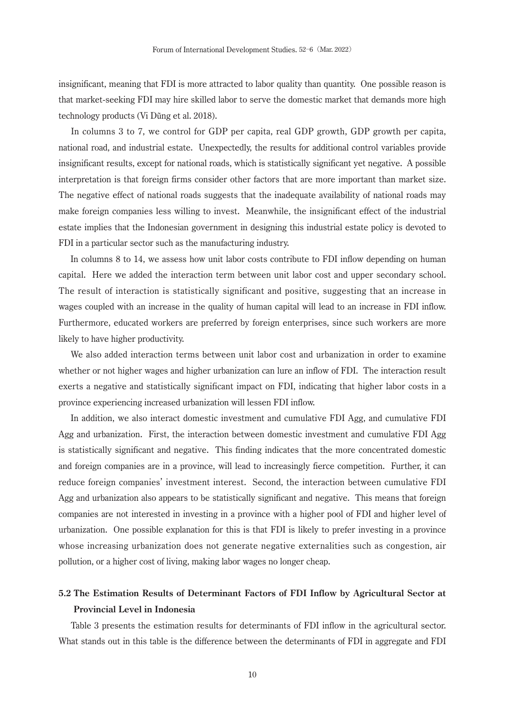insignificant, meaning that FDI is more attracted to labor quality than quantity. One possible reason is that market-seeking FDI may hire skilled labor to serve the domestic market that demands more high technology products (Vi Dũng et al. 2018).

 In columns 3 to 7, we control for GDP per capita, real GDP growth, GDP growth per capita, national road, and industrial estate. Unexpectedly, the results for additional control variables provide insignificant results, except for national roads, which is statistically significant yet negative. A possible interpretation is that foreign firms consider other factors that are more important than market size. The negative effect of national roads suggests that the inadequate availability of national roads may make foreign companies less willing to invest. Meanwhile, the insignificant effect of the industrial estate implies that the Indonesian government in designing this industrial estate policy is devoted to FDI in a particular sector such as the manufacturing industry.

 In columns 8 to 14, we assess how unit labor costs contribute to FDI inflow depending on human capital. Here we added the interaction term between unit labor cost and upper secondary school. The result of interaction is statistically significant and positive, suggesting that an increase in wages coupled with an increase in the quality of human capital will lead to an increase in FDI inflow. Furthermore, educated workers are preferred by foreign enterprises, since such workers are more likely to have higher productivity.

 We also added interaction terms between unit labor cost and urbanization in order to examine whether or not higher wages and higher urbanization can lure an inflow of FDI. The interaction result exerts a negative and statistically significant impact on FDI, indicating that higher labor costs in a province experiencing increased urbanization will lessen FDI inflow.

 In addition, we also interact domestic investment and cumulative FDI Agg, and cumulative FDI Agg and urbanization. First, the interaction between domestic investment and cumulative FDI Agg is statistically significant and negative. This finding indicates that the more concentrated domestic and foreign companies are in a province, will lead to increasingly fierce competition. Further, it can reduce foreign companies' investment interest. Second, the interaction between cumulative FDI Agg and urbanization also appears to be statistically significant and negative. This means that foreign companies are not interested in investing in a province with a higher pool of FDI and higher level of urbanization. One possible explanation for this is that FDI is likely to prefer investing in a province whose increasing urbanization does not generate negative externalities such as congestion, air pollution, or a higher cost of living, making labor wages no longer cheap.

# **5.2 The Estimation Results of Determinant Factors of FDI Inflow by Agricultural Sector at Provincial Level in Indonesia**

 Table 3 presents the estimation results for determinants of FDI inflow in the agricultural sector. What stands out in this table is the difference between the determinants of FDI in aggregate and FDI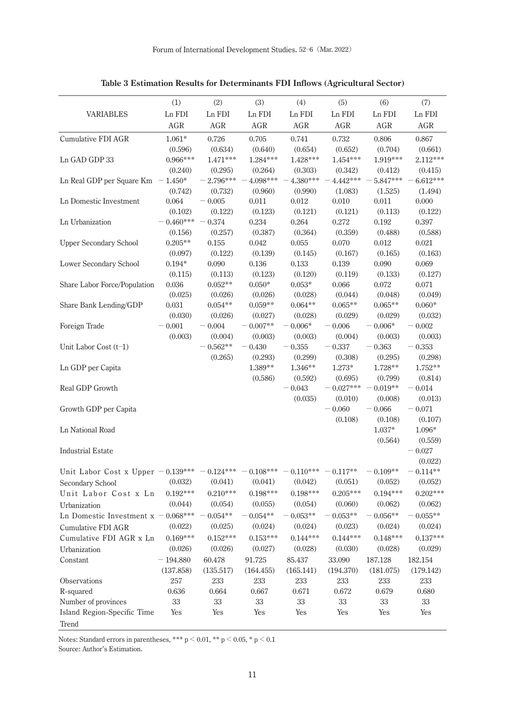|                                               | (1)         | (2)         | (3)              | (4)                 | (5)                 | (6)              | (7)              |
|-----------------------------------------------|-------------|-------------|------------------|---------------------|---------------------|------------------|------------------|
| <b>VARIABLES</b>                              | Ln FDI      | Ln FDI      | Ln FDI           | Ln FDI              | Ln FDI              | Ln FDI           | Ln FDI           |
|                                               | AGR         | AGR         | AGR              | AGR                 | AGR                 | AGR              | AGR              |
| Cumulative FDI AGR                            | $1.061*$    | 0.726       | 0.705            | 0.741               | 0.732               | 0.806            | 0.867            |
|                                               | (0.596)     | (0.634)     | (0.640)          | (0.654)             | (0.652)             | (0.704)          | (0.661)          |
| Ln GAD GDP 33                                 | $0.966***$  | $1.471***$  | $1.284***$       | $1.428***$          | $1.454***$          | 1.919***         | 2.112***         |
|                                               | (0.240)     | (0.295)     | (0.264)          | (0.303)             | (0.342)             | (0.412)          | (0.415)          |
| Ln Real GDP per Square Km                     | $-1.450*$   | $-2.796***$ | 4.098***         | 4.380***            | 4.442***            | 5.847***         | 6.612***         |
|                                               | (0.742)     | (0.732)     | (0.960)          | (0.990)             | (1.083)             | (1.525)          | (1.494)          |
| Ln Domestic Investment                        | 0.064       | $-0.005$    | 0.011            | 0.012               | 0.010               | 0.011            | 0.000            |
|                                               | (0.102)     | (0.122)     | (0.123)          | (0.121)             | (0.121)             | (0.113)          | (0.122)          |
| Ln Urbanization                               | $-0.460***$ | $-0.374$    | 0.234            | 0.264               | 0.272               | 0.192            | 0.397            |
|                                               | (0.156)     | (0.257)     | (0.387)          | (0.364)             | (0.359)             | (0.488)          | (0.588)          |
| <b>Upper Secondary School</b>                 | $0.205**$   | 0.155       | 0.042            | 0.055               | 0.070               | 0.012            | 0.021            |
|                                               | (0.097)     | (0.122)     | (0.139)          | (0.145)             | (0.167)             | (0.165)          | (0.163)          |
| Lower Secondary School                        | $0.194*$    | 0.090       | 0.136            | 0.133               | 0.139               | 0.090            | 0.069            |
|                                               | (0.115)     | (0.113)     | (0.123)          | (0.120)             | (0.119)             | (0.133)          | (0.127)          |
| Share Labor Force/Population                  | 0.036       | $0.052**$   | $0.050*$         | $0.053*$            | 0.066               | 0.072            | 0.071            |
|                                               | (0.025)     | (0.026)     | (0.026)          | (0.028)             | (0.044)             | (0.048)          | (0.049)          |
| Share Bank Lending/GDP                        | 0.031       | $0.054**$   | $0.059**$        | $0.064**$           | $0.065**$           | $0.065**$        | $0.060*$         |
|                                               | (0.030)     | (0.026)     | (0.027)          | (0.028)             | (0.029)             | (0.029)          | (0.032)          |
| Foreign Trade                                 | $-0.001$    | $-0.004$    | $-0.007**$       | $-0.006*$           | $-0.006$            | $-0.006*$        | $-0.002$         |
|                                               | (0.003)     | (0.004)     | (0.003)          | (0.003)             | (0.004)             | (0.003)          | (0.003)          |
| Unit Labor Cost $(t-1)$                       |             | $-0.562**$  | $-0.430$         | $\sim 0.355$        | $-0.337$            | $\!0.363$        | $-0.353$         |
|                                               |             | (0.265)     | (0.293)          | (0.299)             | (0.308)             | (0.295)          | (0.298)          |
| Ln GDP per Capita                             |             |             | 1.389**          | 1.346**             | $1.273*$            | 1.728**          | $1.752**$        |
|                                               |             |             | (0.586)          | (0.592)             | (0.695)             | (0.799)          | (0.814)          |
| Real GDP Growth                               |             |             |                  | $-0.043$            | $0.027***$          | $0.019**$        | $-0.014$         |
|                                               |             |             |                  | (0.035)             | (0.010)             | (0.008)          | (0.013)          |
| Growth GDP per Capita                         |             |             |                  |                     | $-0.060$            | $-0.066$         | $-0.071$         |
|                                               |             |             |                  |                     | (0.108)             | (0.108)          | (0.107)          |
| Ln National Road                              |             |             |                  |                     |                     | $1.037*$         | 1.096*           |
|                                               |             |             |                  |                     |                     | (0.564)          | (0.559)          |
| <b>Industrial Estate</b>                      |             |             |                  |                     |                     |                  | $-0.027$         |
|                                               |             |             |                  |                     |                     |                  | (0.022)          |
| Unit Labor Cost x Upper $-0.139*** -0.124***$ |             |             | $-0.108***$      | $-$ 0.110***        | $-0.117**$          | $-0.109**$       | $-0.114**$       |
| Secondary School                              | (0.032)     | (0.041)     | (0.041)          | (0.042)             | (0.051)             | (0.052)          | (0.052)          |
| Unit Labor Cost x Ln                          | $0.192***$  | $0.210***$  | $0.198***$       | $0.198***$          | $0.205***$          | $0.194***$       | $0.202***$       |
| Urbanization                                  | (0.044)     | (0.054)     | (0.055)          | (0.054)             | (0.060)             | (0.062)          | (0.062)          |
| Ln Domestic Investment $x - 0.068***$         |             | $0.054**$   | $0.054**$        | $-0.053**$          | $0.053**$           | $0.056**$        | $0.055**$        |
| Cumulative FDI AGR                            | (0.022)     | (0.025)     | (0.024)          | (0.024)             | (0.023)             | (0.024)          | (0.024)          |
| Cumulative FDI AGR x Ln                       | $0.169***$  | $0.152***$  | $0.153***$       | $0.144***$          | $0.144***$          | $0.148***$       | $0.137***$       |
| Urbanization                                  | (0.026)     | (0.026)     | (0.027)          | (0.028)             | (0.030)             | (0.028)          | (0.029)          |
| Constant                                      | $-194.880$  | 60.478      |                  |                     |                     | 187.128          |                  |
|                                               | (137.858)   | (135.517)   | 91.725           | 85.437<br>(165.141) | 33.090<br>(194.370) |                  | 182.154          |
| Observations                                  | 257         | 233         | (164.455)<br>233 | 233                 | 233                 | (181.075)<br>233 | (179.142)<br>233 |
| R-squared                                     | 0.636       |             |                  |                     |                     |                  |                  |
| Number of provinces                           | 33          | 0.664<br>33 | 0.667<br>33      | 0.671<br>33         | 0.672<br>33         | 0.679<br>33      | 0.680<br>33      |
|                                               | Yes         | Yes         | Yes              | Yes                 | Yes                 | Yes              |                  |
| Island Region-Specific Time                   |             |             |                  |                     |                     |                  | Yes              |
| Trend                                         |             |             |                  |                     |                     |                  |                  |

**Table 3 Estimation Results for Determinants FDI Inflows (Agricultural Sector)**

Notes: Standard errors in parentheses, \*\*\* p  $< 0.01$ , \*\* p  $< 0.05$ , \* p  $< 0.1$ 

Source: Author's Estimation.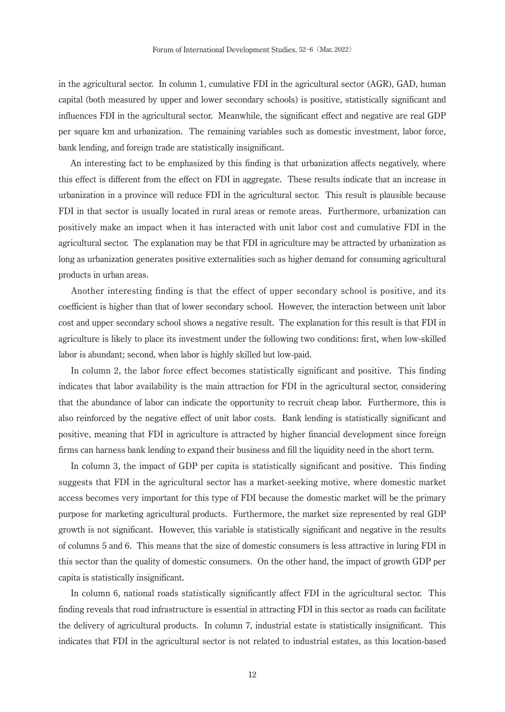in the agricultural sector. In column 1, cumulative FDI in the agricultural sector (AGR), GAD, human capital (both measured by upper and lower secondary schools) is positive, statistically significant and influences FDI in the agricultural sector. Meanwhile, the significant effect and negative are real GDP per square km and urbanization. The remaining variables such as domestic investment, labor force, bank lending, and foreign trade are statistically insignificant.

 An interesting fact to be emphasized by this finding is that urbanization affects negatively, where this effect is different from the effect on FDI in aggregate. These results indicate that an increase in urbanization in a province will reduce FDI in the agricultural sector. This result is plausible because FDI in that sector is usually located in rural areas or remote areas. Furthermore, urbanization can positively make an impact when it has interacted with unit labor cost and cumulative FDI in the agricultural sector. The explanation may be that FDI in agriculture may be attracted by urbanization as long as urbanization generates positive externalities such as higher demand for consuming agricultural products in urban areas.

 Another interesting finding is that the effect of upper secondary school is positive, and its coefficient is higher than that of lower secondary school. However, the interaction between unit labor cost and upper secondary school shows a negative result. The explanation for this result is that FDI in agriculture is likely to place its investment under the following two conditions: first, when low-skilled labor is abundant; second, when labor is highly skilled but low-paid.

 In column 2, the labor force effect becomes statistically significant and positive. This finding indicates that labor availability is the main attraction for FDI in the agricultural sector, considering that the abundance of labor can indicate the opportunity to recruit cheap labor. Furthermore, this is also reinforced by the negative effect of unit labor costs. Bank lending is statistically significant and positive, meaning that FDI in agriculture is attracted by higher financial development since foreign firms can harness bank lending to expand their business and fill the liquidity need in the short term.

 In column 3, the impact of GDP per capita is statistically significant and positive. This finding suggests that FDI in the agricultural sector has a market-seeking motive, where domestic market access becomes very important for this type of FDI because the domestic market will be the primary purpose for marketing agricultural products. Furthermore, the market size represented by real GDP growth is not significant. However, this variable is statistically significant and negative in the results of columns 5 and 6. This means that the size of domestic consumers is less attractive in luring FDI in this sector than the quality of domestic consumers. On the other hand, the impact of growth GDP per capita is statistically insignificant.

 In column 6, national roads statistically significantly affect FDI in the agricultural sector. This finding reveals that road infrastructure is essential in attracting FDI in this sector as roads can facilitate the delivery of agricultural products. In column 7, industrial estate is statistically insignificant. This indicates that FDI in the agricultural sector is not related to industrial estates, as this location-based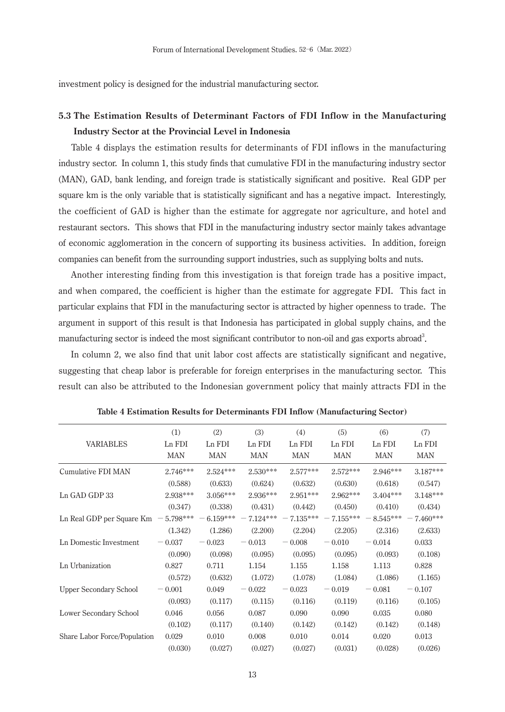investment policy is designed for the industrial manufacturing sector.

# **5.3 The Estimation Results of Determinant Factors of FDI Inflow in the Manufacturing Industry Sector at the Provincial Level in Indonesia**

 Table 4 displays the estimation results for determinants of FDI inflows in the manufacturing industry sector. In column 1, this study finds that cumulative FDI in the manufacturing industry sector (MAN), GAD, bank lending, and foreign trade is statistically significant and positive. Real GDP per square km is the only variable that is statistically significant and has a negative impact. Interestingly, the coefficient of GAD is higher than the estimate for aggregate nor agriculture, and hotel and restaurant sectors. This shows that FDI in the manufacturing industry sector mainly takes advantage of economic agglomeration in the concern of supporting its business activities. In addition, foreign companies can benefit from the surrounding support industries, such as supplying bolts and nuts.

 Another interesting finding from this investigation is that foreign trade has a positive impact, and when compared, the coefficient is higher than the estimate for aggregate FDI. This fact in particular explains that FDI in the manufacturing sector is attracted by higher openness to trade. The argument in support of this result is that Indonesia has participated in global supply chains, and the manufacturing sector is indeed the most significant contributor to non-oil and gas exports abroad<sup>3</sup>.

 In column 2, we also find that unit labor cost affects are statistically significant and negative, suggesting that cheap labor is preferable for foreign enterprises in the manufacturing sector. This result can also be attributed to the Indonesian government policy that mainly attracts FDI in the

|                                               | (1)        | (2)         | (3)         | (4)         | (5)         | (6)         | (7)         |
|-----------------------------------------------|------------|-------------|-------------|-------------|-------------|-------------|-------------|
| <b>VARIABLES</b>                              | Ln FDI     | Ln FDI      | Ln FDI      | Ln FDI      | Ln FDI      | Ln FDI      | Ln FDI      |
|                                               | <b>MAN</b> | <b>MAN</b>  | <b>MAN</b>  | <b>MAN</b>  | <b>MAN</b>  | <b>MAN</b>  | <b>MAN</b>  |
| Cumulative FDI MAN                            | $2.746***$ | $2.524***$  | $2.530***$  | $2.577***$  | $2.572***$  | 2.946***    | 3.187***    |
|                                               | (0.588)    | (0.633)     | (0.624)     | (0.632)     | (0.630)     | (0.618)     | (0.547)     |
| Ln GAD GDP 33                                 | 2.938***   | $3.056***$  | $2.936***$  | $2.951***$  | $2.962***$  | $3.404***$  | 3.148***    |
|                                               | (0.347)    | (0.338)     | (0.431)     | (0.442)     | (0.450)     | (0.410)     | (0.434)     |
| Ln Real GDP per Square $\text{Km}$ - 5.798*** |            | $-6.159***$ | $-7.124***$ | $-7.135***$ | $-7.155***$ | $-8.545***$ | $-7.460***$ |
|                                               | (1.342)    | (1.286)     | (2.200)     | (2.204)     | (2.205)     | (2.316)     | (2.633)     |
| Ln Domestic Investment                        | $-0.037$   | $-0.023$    | $-0.013$    | $-0.008$    | $-0.010$    | $-0.014$    | 0.033       |
|                                               | (0.090)    | (0.098)     | (0.095)     | (0.095)     | (0.095)     | (0.093)     | (0.108)     |
| Ln Urbanization                               | 0.827      | 0.711       | 1.154       | 1.155       | 1.158       | 1.113       | 0.828       |
|                                               | (0.572)    | (0.632)     | (1.072)     | (1.078)     | (1.084)     | (1.086)     | (1.165)     |
| <b>Upper Secondary School</b>                 | $-0.001$   | 0.049       | $-0.022$    | $-0.023$    | $-0.019$    | $-0.081$    | $-0.107$    |
|                                               | (0.093)    | (0.117)     | (0.115)     | (0.116)     | (0.119)     | (0.116)     | (0.105)     |
| Lower Secondary School                        | 0.046      | 0.056       | 0.087       | 0.090       | 0.090       | 0.035       | 0.080       |
|                                               | (0.102)    | (0.117)     | (0.140)     | (0.142)     | (0.142)     | (0.142)     | (0.148)     |
| Share Labor Force/Population                  | 0.029      | 0.010       | 0.008       | 0.010       | 0.014       | 0.020       | 0.013       |
|                                               | (0.030)    | (0.027)     | (0.027)     | (0.027)     | (0.031)     | (0.028)     | (0.026)     |

**Table 4 Estimation Results for Determinants FDI Inflow (Manufacturing Sector)**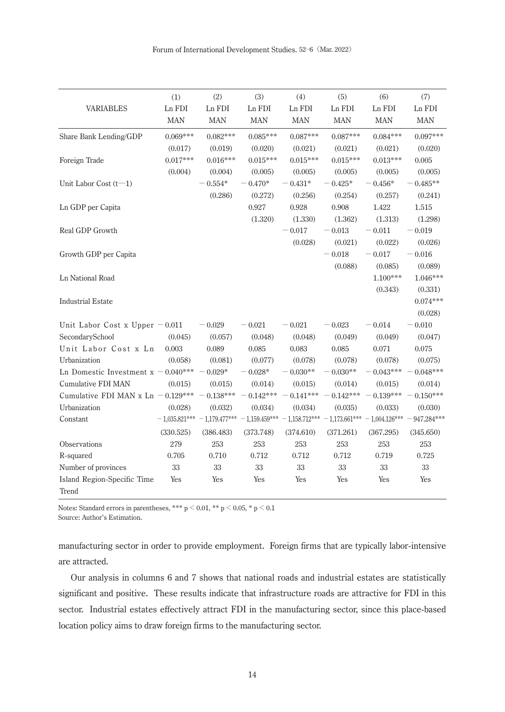|                                                   | (1)        | (2)                                                                              | (3)        | (4)                   | (5)                   | (6)         | (7)                                    |
|---------------------------------------------------|------------|----------------------------------------------------------------------------------|------------|-----------------------|-----------------------|-------------|----------------------------------------|
| <b>VARIABLES</b>                                  | Ln FDI     | Ln FDI                                                                           | Ln FDI     | Ln FDI                | Ln FDI                | Ln FDI      | Ln FDI                                 |
|                                                   | <b>MAN</b> | <b>MAN</b>                                                                       | <b>MAN</b> | <b>MAN</b>            | <b>MAN</b>            | <b>MAN</b>  | <b>MAN</b>                             |
| Share Bank Lending/GDP                            | $0.069***$ | $0.082***$                                                                       | $0.085***$ | $0.087***$            | $0.087***$            | $0.084***$  | $0.097***$                             |
|                                                   | (0.017)    | (0.019)                                                                          | (0.020)    | (0.021)               | (0.021)               | (0.021)     | (0.020)                                |
| Foreign Trade                                     | $0.017***$ | $0.016***$                                                                       | $0.015***$ | $0.015***$            | $0.015***$            | $0.013***$  | 0.005                                  |
|                                                   | (0.004)    | (0.004)                                                                          | (0.005)    | (0.005)               | (0.005)               | (0.005)     | (0.005)                                |
| Unit Labor Cost $(t-1)$                           |            | $-0.554*$                                                                        | $-0.470*$  | $-0.431*$             | $-0.425*$             | $-0.456*$   | $-0.485**$                             |
|                                                   |            | (0.286)                                                                          | (0.272)    | (0.256)               | (0.254)               | (0.257)     | (0.241)                                |
| Ln GDP per Capita                                 |            |                                                                                  | 0.927      | 0.928                 | 0.908                 | 1.422       | 1.515                                  |
|                                                   |            |                                                                                  | (1.320)    | (1.330)               | (1.362)               | (1.313)     | (1.298)                                |
| Real GDP Growth                                   |            |                                                                                  |            | $-0.017$              | $-0.013$              | $-0.011$    | $-0.019$                               |
|                                                   |            |                                                                                  |            | (0.028)               | (0.021)               | (0.022)     | (0.026)                                |
| Growth GDP per Capita                             |            |                                                                                  |            |                       | $-0.018$              | $-0.017$    | $-0.016$                               |
|                                                   |            |                                                                                  |            |                       | (0.088)               | (0.085)     | (0.089)                                |
| Ln National Road                                  |            |                                                                                  |            |                       |                       | $1.100***$  | $1.046***$                             |
|                                                   |            |                                                                                  |            |                       |                       | (0.343)     | (0.331)                                |
| <b>Industrial Estate</b>                          |            |                                                                                  |            |                       |                       |             | $0.074***$                             |
|                                                   |            |                                                                                  |            |                       |                       |             | (0.028)                                |
| Unit Labor Cost x Upper $-0.011$                  |            | $-0.029$                                                                         | $-0.021$   | $-0.021$              | $-0.023$              | $-0.014$    | $-0.010$                               |
| SecondarySchool                                   | (0.045)    | (0.057)                                                                          | (0.048)    | (0.048)               | (0.049)               | (0.049)     | (0.047)                                |
| Unit Labor Cost x Ln                              | 0.003      | 0.089                                                                            | 0.085      | 0.083                 | 0.085                 | 0.071       | 0.075                                  |
| Urbanization                                      | (0.058)    | (0.081)                                                                          | (0.077)    | (0.078)               | (0.078)               | (0.078)     | (0.075)                                |
| Ln Domestic Investment $x - 0.040*** - 0.029*$    |            |                                                                                  | $-0.028*$  | $-0.030**$            | $-0.030**$            | $-0.043***$ | $0.048***$<br>$\overline{\phantom{m}}$ |
| Cumulative FDI MAN                                | (0.015)    | (0.015)                                                                          | (0.014)    | (0.015)               | (0.014)               | (0.015)     | (0.014)                                |
| Cumulative FDI MAN x Ln $-$ 0.129*** $-$ 0.138*** |            |                                                                                  |            | $-0.142*** -0.141***$ | $-0.142*** -0.139***$ |             | $-0.150***$                            |
| Urbanization                                      | (0.028)    | (0.032)                                                                          | (0.034)    | (0.034)               | (0.035)               | (0.033)     | (0.030)                                |
| Constant                                          |            | $-1,035.821***-1,179.477***-1,159.459***-1,158.712***-1,173.661***-1,004.126***$ |            |                       |                       |             | $-947.284***$                          |
|                                                   | (330.525)  | (386.483)                                                                        | (373.748)  | (374.610)             | (371.261)             | (367.295)   | (345.650)                              |
| Observations                                      | 279        | 253                                                                              | 253        | 253                   | 253                   | $253\,$     | 253                                    |
| R-squared                                         | 0.705      | 0.710                                                                            | 0.712      | 0.712                 | 0.712                 | 0.719       | 0.725                                  |
| Number of provinces                               | 33         | 33                                                                               | 33         | 33                    | 33                    | 33          | 33                                     |
| Island Region-Specific Time                       | Yes        | Yes                                                                              | Yes        | Yes                   | Yes                   | Yes         | Yes                                    |
| Trend                                             |            |                                                                                  |            |                       |                       |             |                                        |

Notes: Standard errors in parentheses, \*\*\*  $p < 0.01$ , \*\*  $p < 0.05$ , \*  $p < 0.1$ 

Source: Author's Estimation.

manufacturing sector in order to provide employment. Foreign firms that are typically labor-intensive are attracted.

 Our analysis in columns 6 and 7 shows that national roads and industrial estates are statistically significant and positive. These results indicate that infrastructure roads are attractive for FDI in this sector. Industrial estates effectively attract FDI in the manufacturing sector, since this place-based location policy aims to draw foreign firms to the manufacturing sector.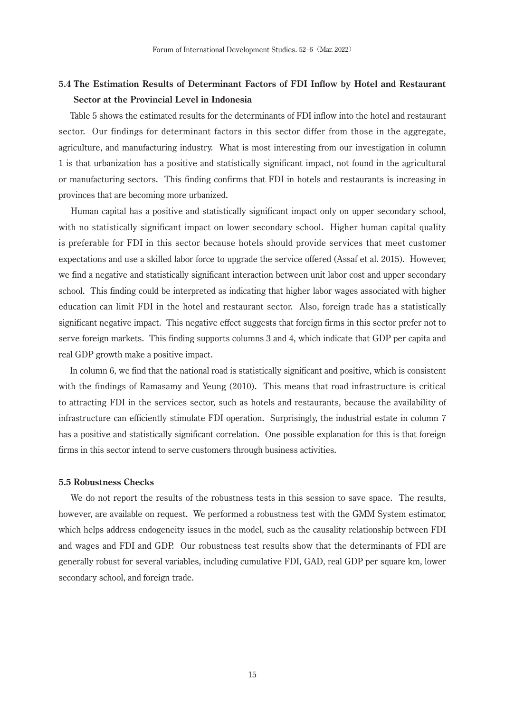# **5.4 The Estimation Results of Determinant Factors of FDI Inflow by Hotel and Restaurant Sector at the Provincial Level in Indonesia**

 Table 5 shows the estimated results for the determinants of FDI inflow into the hotel and restaurant sector. Our findings for determinant factors in this sector differ from those in the aggregate, agriculture, and manufacturing industry. What is most interesting from our investigation in column 1 is that urbanization has a positive and statistically significant impact, not found in the agricultural or manufacturing sectors. This finding confirms that FDI in hotels and restaurants is increasing in provinces that are becoming more urbanized.

 Human capital has a positive and statistically significant impact only on upper secondary school, with no statistically significant impact on lower secondary school. Higher human capital quality is preferable for FDI in this sector because hotels should provide services that meet customer expectations and use a skilled labor force to upgrade the service offered (Assaf et al. 2015). However, we find a negative and statistically significant interaction between unit labor cost and upper secondary school. This finding could be interpreted as indicating that higher labor wages associated with higher education can limit FDI in the hotel and restaurant sector. Also, foreign trade has a statistically significant negative impact. This negative effect suggests that foreign firms in this sector prefer not to serve foreign markets. This finding supports columns 3 and 4, which indicate that GDP per capita and real GDP growth make a positive impact.

 In column 6, we find that the national road is statistically significant and positive, which is consistent with the findings of Ramasamy and Yeung (2010). This means that road infrastructure is critical to attracting FDI in the services sector, such as hotels and restaurants, because the availability of infrastructure can efficiently stimulate FDI operation. Surprisingly, the industrial estate in column 7 has a positive and statistically significant correlation. One possible explanation for this is that foreign firms in this sector intend to serve customers through business activities.

#### **5.5 Robustness Checks**

 We do not report the results of the robustness tests in this session to save space. The results, however, are available on request. We performed a robustness test with the GMM System estimator, which helps address endogeneity issues in the model, such as the causality relationship between FDI and wages and FDI and GDP. Our robustness test results show that the determinants of FDI are generally robust for several variables, including cumulative FDI, GAD, real GDP per square km, lower secondary school, and foreign trade.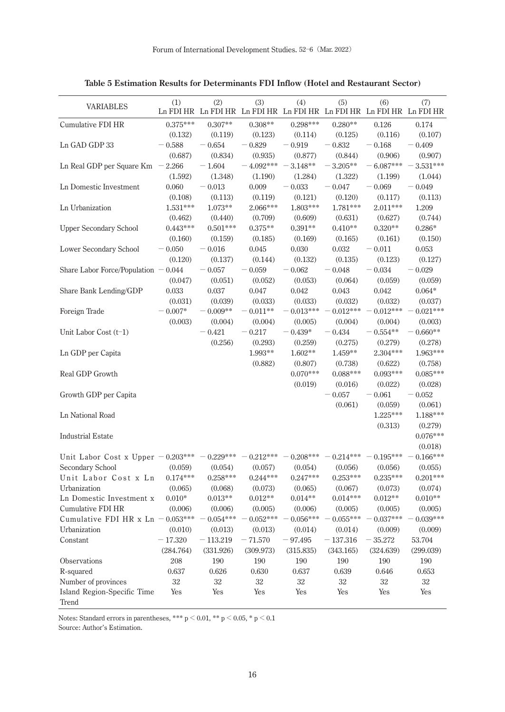| <b>VARIABLES</b>                      | (1)        | (2)        | (3)         | (4)         | (5)        | (6)<br>Ln FDI HR Ln FDI HR Ln FDI HR Ln FDI HR Ln FDI HR Ln FDI HR Ln FDI HR | (7)         |
|---------------------------------------|------------|------------|-------------|-------------|------------|------------------------------------------------------------------------------|-------------|
| Cumulative FDI HR                     | $0.375***$ | $0.307**$  | $0.308**$   | $0.298***$  | $0.280**$  | 0.126                                                                        | 0.174       |
|                                       | (0.132)    | (0.119)    | (0.123)     | (0.114)     | (0.125)    | (0.116)                                                                      | (0.107)     |
| Ln GAD GDP 33                         | $-0.588$   | $-0.654$   | $-0.829$    | $-0.919$    | $-0.832$   | $-0.168$                                                                     | $-0.409$    |
|                                       | (0.687)    | (0.834)    | (0.935)     | (0.877)     | (0.844)    | (0.906)                                                                      | (0.907)     |
| Ln Real GDP per Square $Km - 2.266$   |            | $-1.604$   | $-4.092***$ | $-$ 3.148** | $-3.205**$ | $-6.087***$                                                                  | $-3.531***$ |
|                                       | (1.592)    | (1.348)    | (1.190)     | (1.284)     | (1.322)    | (1.199)                                                                      | (1.044)     |
| Ln Domestic Investment                | 0.060      | $-0.013$   | 0.009       | $-0.033$    | $-0.047$   | $-0.069$                                                                     | $-0.049$    |
|                                       | (0.108)    | (0.113)    | (0.119)     | (0.121)     | (0.120)    | (0.117)                                                                      | (0.113)     |
| Ln Urbanization                       | $1.531***$ | $1.073**$  | 2.066***    | $1.803***$  | $1.781***$ | $2.011***$                                                                   | 1.209       |
|                                       | (0.462)    | (0.440)    | (0.709)     | (0.609)     | (0.631)    | (0.627)                                                                      | (0.744)     |
| <b>Upper Secondary School</b>         | $0.443***$ | $0.501***$ | $0.375**$   | $0.391**$   | $0.410**$  | $0.320**$                                                                    | $0.286*$    |
|                                       | (0.160)    | (0.159)    | (0.185)     | (0.169)     | (0.165)    | (0.161)                                                                      | (0.150)     |
| Lower Secondary School                | $-0.050$   | $-0.016$   | 0.045       | 0.030       | 0.032      | $-0.011$                                                                     | 0.053       |
|                                       | (0.120)    | (0.137)    | (0.144)     | (0.132)     | (0.135)    | (0.123)                                                                      | (0.127)     |
| Share Labor Force/Population $-0.044$ |            | $-0.057$   | 0.059       | $-0.062$    | $-0.048$   | $-0.034$                                                                     | $-0.029$    |
|                                       | (0.047)    | (0.051)    | (0.052)     | (0.053)     | (0.064)    | (0.059)                                                                      | (0.059)     |
| Share Bank Lending/GDP                | 0.033      | 0.037      | 0.047       | 0.042       | 0.043      | 0.042                                                                        | $0.064*$    |
|                                       | (0.031)    | (0.039)    | (0.033)     | (0.033)     | (0.032)    | (0.032)                                                                      | (0.037)     |
| Foreign Trade                         | $0.007*$   | $-0.009**$ | $-0.011**$  | $0.013***$  | $0.012***$ | $0.012***$                                                                   | $0.021***$  |
|                                       | (0.003)    | (0.004)    | (0.004)     | (0.005)     | (0.004)    | (0.004)                                                                      | (0.003)     |
| Unit Labor Cost (t-1)                 |            | $-0.421$   | $-0.217$    | $-0.439*$   | $-0.434$   | $-0.554**$                                                                   | $0.660**$   |
|                                       |            | (0.256)    | (0.293)     | (0.259)     | (0.275)    | (0.279)                                                                      | (0.278)     |
| Ln GDP per Capita                     |            |            | 1.993**     | $1.602**$   | $1.459**$  | $2.304***$                                                                   | 1.963***    |
|                                       |            |            | (0.882)     | (0.807)     | (0.738)    | (0.622)                                                                      | (0.758)     |
| Real GDP Growth                       |            |            |             | $0.070***$  | $0.088***$ | $0.093***$                                                                   | $0.085***$  |
|                                       |            |            |             | (0.019)     | (0.016)    | (0.022)                                                                      | (0.028)     |
| Growth GDP per Capita                 |            |            |             |             | $-0.057$   | $-0.061$                                                                     | $-0.052$    |
|                                       |            |            |             |             | (0.061)    | (0.059)                                                                      | (0.061)     |
| Ln National Road                      |            |            |             |             |            | $1.225***$                                                                   | $1.188***$  |
|                                       |            |            |             |             |            | (0.313)                                                                      | (0.279)     |
| <b>Industrial Estate</b>              |            |            |             |             |            |                                                                              | $0.076***$  |
|                                       |            |            |             |             |            |                                                                              | (0.018)     |
| Unit Labor Cost x Upper $-0.203***$   |            | $0.229***$ | $0.212***$  | $0.208***$  | $0.214***$ | $0.195***$                                                                   | $0.166***$  |
| Secondary School                      | (0.059)    | (0.054)    | (0.057)     | (0.054)     | (0.056)    | (0.056)                                                                      | (0.055)     |
| Unit Labor Cost x Ln                  | $0.174***$ | $0.258***$ | $0.244***$  | $0.247***$  | $0.253***$ | $0.235***$                                                                   | $0.201***$  |
| Urbanization                          | (0.065)    | (0.068)    | (0.073)     | (0.065)     | (0.067)    | (0.073)                                                                      | (0.074)     |
| Ln Domestic Investment x              | $0.010*$   | $0.013**$  | $0.012**$   | $0.014**$   | $0.014***$ | $0.012**$                                                                    | $0.010**$   |
| Cumulative FDI HR                     | (0.006)    | (0.006)    | (0.005)     | (0.006)     | (0.005)    | (0.005)                                                                      | (0.005)     |
| Cumulative FDI HR $x$ Ln $-$          | $0.053***$ | $0.054***$ | $0.052***$  | $0.056***$  | $0.055***$ | $0.037***$                                                                   | $0.039***$  |
| Urbanization                          | (0.010)    | (0.013)    | (0.013)     | (0.014)     | (0.014)    | (0.009)                                                                      | (0.009)     |
| Constant                              | $-17.320$  | $-113.219$ | $-71.570$   | $-97.495$   | $-137.316$ | $-35.272$                                                                    | 53.704      |
|                                       | (284.764)  | (331.926)  | (309.973)   | (315.835)   | (343.165)  | (324.639)                                                                    | (299.039)   |
| Observations                          | 208        | 190        | 190         | 190         | 190        | 190                                                                          | 190         |
| R-squared                             | 0.637      | 0.626      | 0.630       | 0.637       | 0.639      | 0.646                                                                        | 0.653       |
| Number of provinces                   | $32\,$     | 32         | 32          | $32\,$      | $32\,$     | $32\,$                                                                       | 32          |
|                                       |            |            |             |             |            |                                                                              |             |
| Island Region-Specific Time<br>Trend  | Yes        | Yes        | Yes         | Yes         | Yes        | Yes                                                                          | Yes         |

**Table 5 Estimation Results for Determinants FDI Inflow (Hotel and Restaurant Sector)**

Notes: Standard errors in parentheses, \*\*\* p  $\leq$  0.01, \*\* p  $\leq$  0.05, \* p  $\leq$  0.1

Source: Author's Estimation.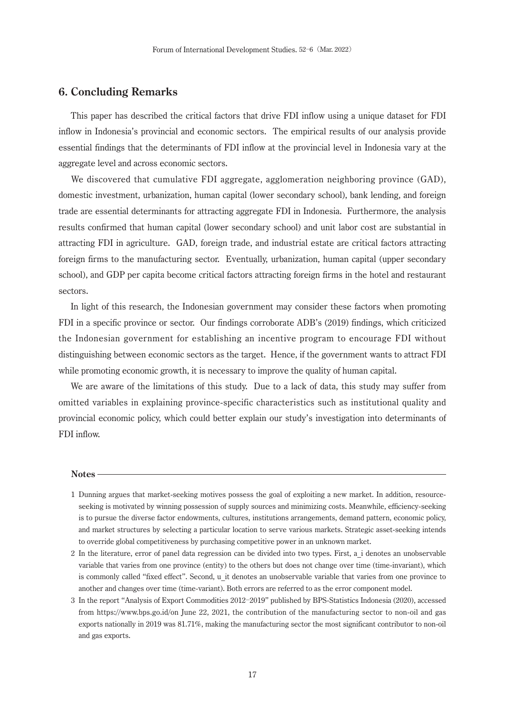#### **6. Concluding Remarks**

 This paper has described the critical factors that drive FDI inflow using a unique dataset for FDI inflow in Indonesia's provincial and economic sectors. The empirical results of our analysis provide essential findings that the determinants of FDI inflow at the provincial level in Indonesia vary at the aggregate level and across economic sectors.

 We discovered that cumulative FDI aggregate, agglomeration neighboring province (GAD), domestic investment, urbanization, human capital (lower secondary school), bank lending, and foreign trade are essential determinants for attracting aggregate FDI in Indonesia. Furthermore, the analysis results confirmed that human capital (lower secondary school) and unit labor cost are substantial in attracting FDI in agriculture. GAD, foreign trade, and industrial estate are critical factors attracting foreign firms to the manufacturing sector. Eventually, urbanization, human capital (upper secondary school), and GDP per capita become critical factors attracting foreign firms in the hotel and restaurant sectors.

 In light of this research, the Indonesian government may consider these factors when promoting FDI in a specific province or sector. Our findings corroborate ADB's (2019) findings, which criticized the Indonesian government for establishing an incentive program to encourage FDI without distinguishing between economic sectors as the target. Hence, if the government wants to attract FDI while promoting economic growth, it is necessary to improve the quality of human capital.

 We are aware of the limitations of this study. Due to a lack of data, this study may suffer from omitted variables in explaining province-specific characteristics such as institutional quality and provincial economic policy, which could better explain our study's investigation into determinants of FDI inflow.

#### **Notes**

- 1 Dunning argues that market-seeking motives possess the goal of exploiting a new market. In addition, resourceseeking is motivated by winning possession of supply sources and minimizing costs. Meanwhile, efficiency-seeking is to pursue the diverse factor endowments, cultures, institutions arrangements, demand pattern, economic policy, and market structures by selecting a particular location to serve various markets. Strategic asset-seeking intends to override global competitiveness by purchasing competitive power in an unknown market.
- 2 In the literature, error of panel data regression can be divided into two types. First, a\_i denotes an unobservable variable that varies from one province (entity) to the others but does not change over time (time-invariant), which is commonly called "fixed effect". Second, u\_it denotes an unobservable variable that varies from one province to another and changes over time (time-variant). Both errors are referred to as the error component model.
- 3 In the report "Analysis of Export Commodities 2012-2019" published by BPS-Statistics Indonesia (2020), accessed from https://www.bps.go.id/on June 22, 2021, the contribution of the manufacturing sector to non-oil and gas exports nationally in 2019 was 81.71%, making the manufacturing sector the most significant contributor to non-oil and gas exports.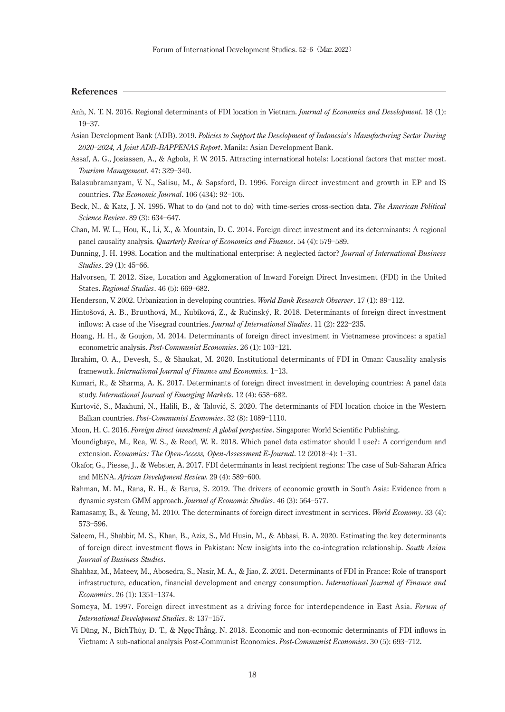#### **References**

- Anh, N. T. N. 2016. Regional determinants of FDI location in Vietnam. *Journal of Economics and Development*. 18 (1):  $19 - 37.$
- Asian Development Bank (ADB). 2019. *Policies to Support the Development of Indonesia*'*s Manufacturing Sector During 2020* Ż*2024, A Joint ADB-BAPPENAS Report*. Manila: Asian Development Bank.
- Assaf, A. G., Josiassen, A., & Agbola, F. W. 2015. Attracting international hotels: Locational factors that matter most. *Tourism Management*. 47: 329-340.
- Balasubramanyam, V. N., Salisu, M., & Sapsford, D. 1996. Foreign direct investment and growth in EP and IS countries. *The Economic Journal*. 106 (434): 92-105.
- Beck, N., & Katz, J. N. 1995. What to do (and not to do) with time-series cross-section data. *The American Political Science Review.* 89 (3): 634-647.
- Chan, M. W. L., Hou, K., Li, X., & Mountain, D. C. 2014. Foreign direct investment and its determinants: A regional panel causality analysis. *Quarterly Review of Economics and Finance*, 54 (4): 579–589.
- Dunning, J. H. 1998. Location and the multinational enterprise: A neglected factor? *Journal of International Business Studies*. 29 (1): 45-66.
- Halvorsen, T. 2012. Size, Location and Agglomeration of Inward Foreign Direct Investment (FDI) in the United States. *Regional Studies*. 46 (5): 669-682.
- Henderson, V. 2002. Urbanization in developing countries. *World Bank Research Observer*. 17 (1): 89-112.
- Hintošová, A. B., Bruothová, M., Kubíková, Z., & Ručinský, R. 2018. Determinants of foreign direct investment inflows: A case of the Visegrad countries. *Journal of International Studies*. 11 (2): 222–235.
- Hoang, H. H., & Goujon, M. 2014. Determinants of foreign direct investment in Vietnamese provinces: a spatial econometric analysis. Post-Communist Economies. 26 (1): 103-121.
- Ibrahim, O. A., Devesh, S., & Shaukat, M. 2020. Institutional determinants of FDI in Oman: Causality analysis framework. *International Journal of Finance and Economics*. 1-13.
- Kumari, R., & Sharma, A. K. 2017. Determinants of foreign direct investment in developing countries: A panel data study. *International Journal of Emerging Markets*. 12 (4): 658-682.
- Kurtović, S., Maxhuni, N., Halili, B., & Talović, S. 2020. The determinants of FDI location choice in the Western Balkan countries. *Post-Communist Economies*. 32 (8): 1089-1110.
- Moon, H. C. 2016. *Foreign direct investment: A global perspective*. Singapore: World Scientific Publishing.
- Moundigbaye, M., Rea, W. S., & Reed, W. R. 2018. Which panel data estimator should I use?: A corrigendum and extension. *Economics: The Open-Access, Open-Assessment E-Journal*. 12 (2018-4): 1-31.
- Okafor, G., Piesse, J., & Webster, A. 2017. FDI determinants in least recipient regions: The case of Sub-Saharan Africa and MENA. *African Development Review.* 29 (4): 589-600.
- Rahman, M. M., Rana, R. H., & Barua, S. 2019. The drivers of economic growth in South Asia: Evidence from a dynamic system GMM approach. *Journal of Economic Studies*. 46 (3): 564-577.
- Ramasamy, B., & Yeung, M. 2010. The determinants of foreign direct investment in services. *World Economy*. 33 (4): 573-596.
- Saleem, H., Shabbir, M. S., Khan, B., Aziz, S., Md Husin, M., & Abbasi, B. A. 2020. Estimating the key determinants of foreign direct investment flows in Pakistan: New insights into the co-integration relationship. *South Asian Journal of Business Studies*.
- Shahbaz, M., Mateev, M., Abosedra, S., Nasir, M. A., & Jiao, Z. 2021. Determinants of FDI in France: Role of transport infrastructure, education, financial development and energy consumption. *International Journal of Finance and Economics*. 26 (1): 1351-1374.
- Someya, M. 1997. Foreign direct investment as a driving force for interdependence in East Asia. *Forum of International Development Studies*. 8: 137-157.
- Vi Dũng, N., BíchThủy, Đ. T., & NgọcThắng, N. 2018. Economic and non-economic determinants of FDI inflows in Vietnam: A sub-national analysis Post-Communist Economies. Post-Communist Economies. 30 (5): 693-712.